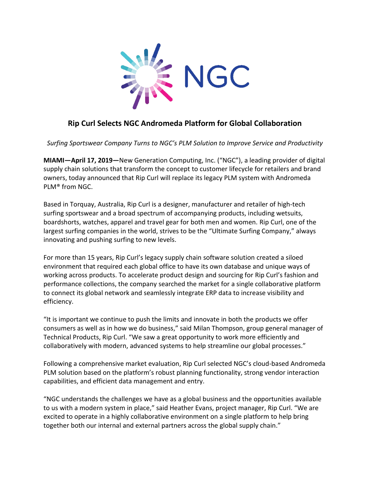

## **Rip Curl Selects NGC Andromeda Platform for Global Collaboration**

*Surfing Sportswear Company Turns to NGC's PLM Solution to Improve Service and Productivity* 

**MIAMI—April 17, 2019—**New Generation Computing, Inc. ("NGC"), a leading provider of digital supply chain solutions that transform the concept to customer lifecycle for retailers and brand owners, today announced that Rip Curl will replace its legacy PLM system with Andromeda PLM® from NGC.

Based in Torquay, Australia, Rip Curl is a designer, manufacturer and retailer of high-tech surfing sportswear and a broad spectrum of accompanying products, including wetsuits, boardshorts, watches, apparel and travel gear for both men and women. Rip Curl, one of the largest surfing companies in the world, strives to be the "Ultimate Surfing Company," always innovating and pushing surfing to new levels.

For more than 15 years, Rip Curl's legacy supply chain software solution created a siloed environment that required each global office to have its own database and unique ways of working across products. To accelerate product design and sourcing for Rip Curl's fashion and performance collections, the company searched the market for a single collaborative platform to connect its global network and seamlessly integrate ERP data to increase visibility and efficiency.

"It is important we continue to push the limits and innovate in both the products we offer consumers as well as in how we do business," said Milan Thompson, group general manager of Technical Products, Rip Curl. "We saw a great opportunity to work more efficiently and collaboratively with modern, advanced systems to help streamline our global processes."

Following a comprehensive market evaluation, Rip Curl selected NGC's cloud-based Andromeda PLM solution based on the platform's robust planning functionality, strong vendor interaction capabilities, and efficient data management and entry.

"NGC understands the challenges we have as a global business and the opportunities available to us with a modern system in place," said Heather Evans, project manager, Rip Curl. "We are excited to operate in a highly collaborative environment on a single platform to help bring together both our internal and external partners across the global supply chain."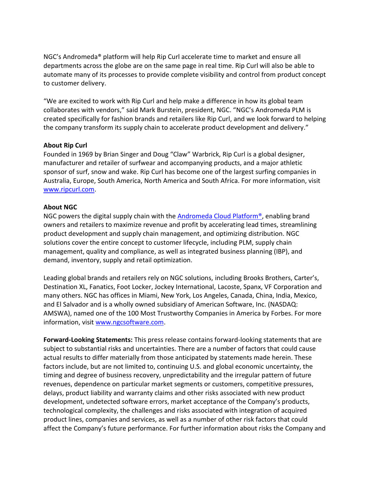NGC's Andromeda® platform will help Rip Curl accelerate time to market and ensure all departments across the globe are on the same page in real time. Rip Curl will also be able to automate many of its processes to provide complete visibility and control from product concept to customer delivery.

"We are excited to work with Rip Curl and help make a difference in how its global team collaborates with vendors," said Mark Burstein, president, NGC. "NGC's Andromeda PLM is created specifically for fashion brands and retailers like Rip Curl, and we look forward to helping the company transform its supply chain to accelerate product development and delivery."

## **About Rip Curl**

Founded in 1969 by Brian Singer and Doug "Claw" Warbrick, Rip Curl is a global designer, manufacturer and retailer of surfwear and accompanying products, and a major athletic sponsor of surf, snow and wake. Rip Curl has become one of the largest surfing companies in Australia, Europe, South America, North America and South Africa. For more information, visit [www.ripcurl.com.](https://www.ripcurl.com/us/)

## **About NGC**

NGC powers the digital supply chain with the [Andromeda Cloud Platform®,](https://www.ngcsoftware.com/landing/ngcandromedacloudplatform/) enabling brand owners and retailers to maximize revenue and profit by accelerating lead times, streamlining product development and supply chain management, and optimizing distribution. NGC solutions cover the entire concept to customer lifecycle, including PLM, supply chain management, quality and compliance, as well as integrated business planning (IBP), and demand, inventory, supply and retail optimization.

Leading global brands and retailers rely on NGC solutions, including Brooks Brothers, Carter's, Destination XL, Fanatics, Foot Locker, Jockey International, Lacoste, Spanx, VF Corporation and many others. NGC has offices in Miami, New York, Los Angeles, Canada, China, India, Mexico, and El Salvador and is a wholly owned subsidiary of American Software, Inc. (NASDAQ: AMSWA), named one of the 100 Most Trustworthy Companies in America by Forbes. For more information, visit [www.ngcsoftware.com.](http://www.ngcsoftware.com/)

**Forward-Looking Statements:** This press release contains forward-looking statements that are subject to substantial risks and uncertainties. There are a number of factors that could cause actual results to differ materially from those anticipated by statements made herein. These factors include, but are not limited to, continuing U.S. and global economic uncertainty, the timing and degree of business recovery, unpredictability and the irregular pattern of future revenues, dependence on particular market segments or customers, competitive pressures, delays, product liability and warranty claims and other risks associated with new product development, undetected software errors, market acceptance of the Company's products, technological complexity, the challenges and risks associated with integration of acquired product lines, companies and services, as well as a number of other risk factors that could affect the Company's future performance. For further information about risks the Company and